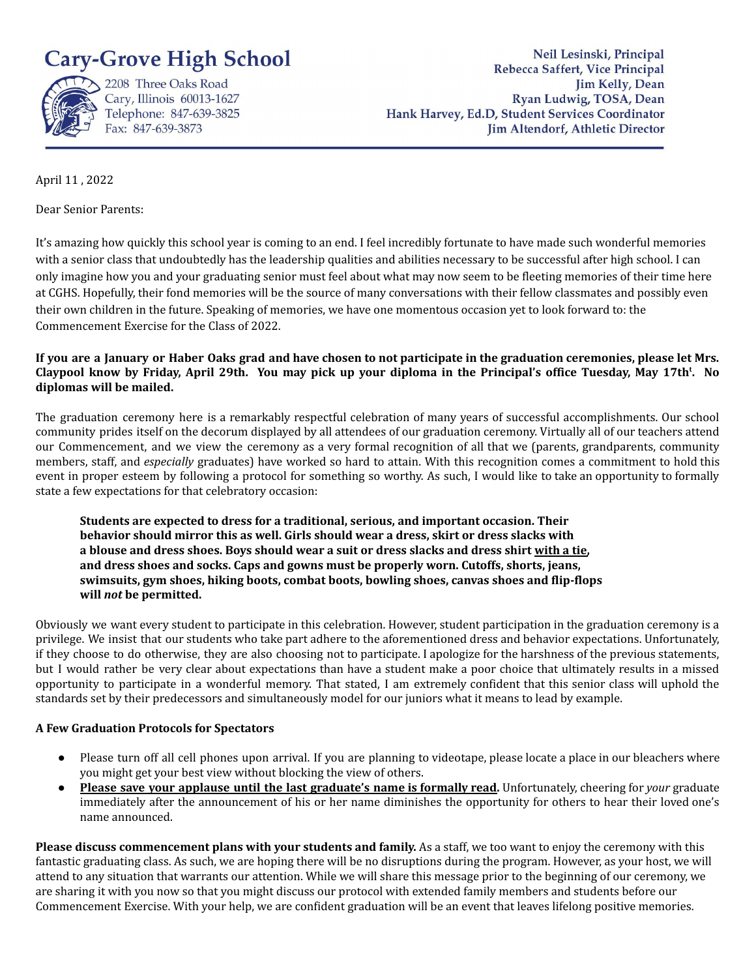



2208 Three Oaks Road Cary, Illinois 60013-1627 Telephone: 847-639-3825 Fax: 847-639-3873

Neil Lesinski, Principal Rebecca Saffert, Vice Principal **Jim Kelly**, Dean Ryan Ludwig, TOSA, Dean Hank Harvey, Ed.D, Student Services Coordinator Jim Altendorf, Athletic Director

April 11 , 2022

Dear Senior Parents:

It's amazing how quickly this school year is coming to an end. I feel incredibly fortunate to have made such wonderful memories with a senior class that undoubtedly has the leadership qualities and abilities necessary to be successful after high school. I can only imagine how you and your graduating senior must feel about what may now seem to be fleeting memories of their time here at CGHS. Hopefully, their fond memories will be the source of many conversations with their fellow classmates and possibly even their own children in the future. Speaking of memories, we have one momentous occasion yet to look forward to: the Commencement Exercise for the Class of 2022.

If you are a January or Haber Oaks grad and have chosen to not participate in the graduation ceremonies, please let Mrs. Claypool know by Friday, April 29th. You may pick up your diploma in the Principal's office Tuesday, May 17th<sup>t</sup>. No **diplomas will be mailed.**

The graduation ceremony here is a remarkably respectful celebration of many years of successful accomplishments. Our school community prides itself on the decorum displayed by all attendees of our graduation ceremony. Virtually all of our teachers attend our Commencement, and we view the ceremony as a very formal recognition of all that we (parents, grandparents, community members, staff, and *especially* graduates) have worked so hard to attain. With this recognition comes a commitment to hold this event in proper esteem by following a protocol for something so worthy. As such, I would like to take an opportunity to formally state a few expectations for that celebratory occasion:

**Students are expected to dress for a traditional, serious, and important occasion. Their behavior should mirror this as well. Girls should wear a dress, skirt or dress slacks with** a blouse and dress shoes. Boys should wear a suit or dress slacks and dress shirt with a tie, **and dress shoes and socks. Caps and gowns must be properly worn. Cutoffs, shorts, jeans, swimsuits, gym shoes, hiking boots, combat boots, bowling shoes, canvas shoes and flip-flops will** *not* **be permitted.**

Obviously we want every student to participate in this celebration. However, student participation in the graduation ceremony is a privilege. We insist that our students who take part adhere to the aforementioned dress and behavior expectations. Unfortunately, if they choose to do otherwise, they are also choosing not to participate. I apologize for the harshness of the previous statements, but I would rather be very clear about expectations than have a student make a poor choice that ultimately results in a missed opportunity to participate in a wonderful memory. That stated, I am extremely confident that this senior class will uphold the standards set by their predecessors and simultaneously model for our juniors what it means to lead by example.

## **A Few Graduation Protocols for Spectators**

- Please turn off all cell phones upon arrival. If you are planning to videotape, please locate a place in our bleachers where you might get your best view without blocking the view of others.
- **Please save your applause until the last graduate's name is formally read.** Unfortunately, cheering for *your* graduate immediately after the announcement of his or her name diminishes the opportunity for others to hear their loved one's name announced.

**Please discuss commencement plans with your students and family.** As a staff, we too want to enjoy the ceremony with this fantastic graduating class. As such, we are hoping there will be no disruptions during the program. However, as your host, we will attend to any situation that warrants our attention. While we will share this message prior to the beginning of our ceremony, we are sharing it with you now so that you might discuss our protocol with extended family members and students before our Commencement Exercise. With your help, we are confident graduation will be an event that leaves lifelong positive memories.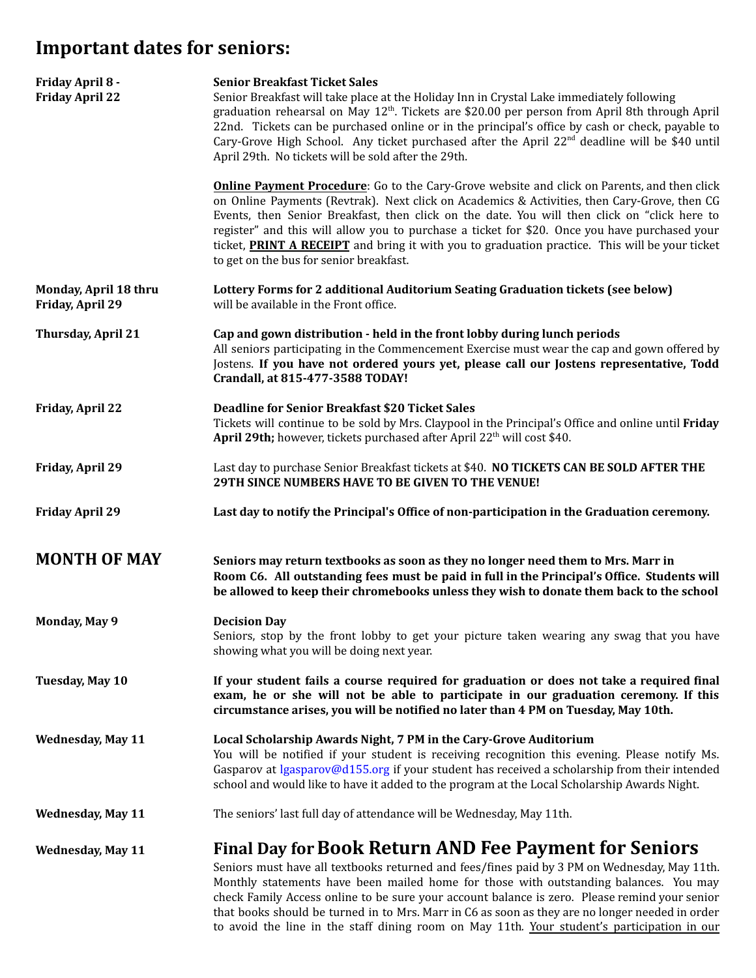## **Important dates for seniors:**

| Friday April 8 -<br><b>Friday April 22</b> | <b>Senior Breakfast Ticket Sales</b><br>Senior Breakfast will take place at the Holiday Inn in Crystal Lake immediately following<br>graduation rehearsal on May $12th$ . Tickets are \$20.00 per person from April 8th through April<br>22nd. Tickets can be purchased online or in the principal's office by cash or check, payable to<br>Cary-Grove High School. Any ticket purchased after the April 22 <sup>nd</sup> deadline will be \$40 until<br>April 29th. No tickets will be sold after the 29th.                                      |
|--------------------------------------------|---------------------------------------------------------------------------------------------------------------------------------------------------------------------------------------------------------------------------------------------------------------------------------------------------------------------------------------------------------------------------------------------------------------------------------------------------------------------------------------------------------------------------------------------------|
|                                            | <b>Online Payment Procedure:</b> Go to the Cary-Grove website and click on Parents, and then click<br>on Online Payments (Revtrak). Next click on Academics & Activities, then Cary-Grove, then CG<br>Events, then Senior Breakfast, then click on the date. You will then click on "click here to<br>register" and this will allow you to purchase a ticket for \$20. Once you have purchased your<br>ticket, PRINT A RECEIPT and bring it with you to graduation practice. This will be your ticket<br>to get on the bus for senior breakfast.  |
| Monday, April 18 thru<br>Friday, April 29  | Lottery Forms for 2 additional Auditorium Seating Graduation tickets (see below)<br>will be available in the Front office.                                                                                                                                                                                                                                                                                                                                                                                                                        |
| <b>Thursday, April 21</b>                  | Cap and gown distribution - held in the front lobby during lunch periods<br>All seniors participating in the Commencement Exercise must wear the cap and gown offered by<br>Jostens. If you have not ordered yours yet, please call our Jostens representative, Todd<br>Crandall, at 815-477-3588 TODAY!                                                                                                                                                                                                                                          |
| <b>Friday, April 22</b>                    | <b>Deadline for Senior Breakfast \$20 Ticket Sales</b><br>Tickets will continue to be sold by Mrs. Claypool in the Principal's Office and online until Friday<br>April 29th; however, tickets purchased after April 22 <sup>th</sup> will cost \$40.                                                                                                                                                                                                                                                                                              |
| Friday, April 29                           | Last day to purchase Senior Breakfast tickets at \$40. NO TICKETS CAN BE SOLD AFTER THE<br>29TH SINCE NUMBERS HAVE TO BE GIVEN TO THE VENUE!                                                                                                                                                                                                                                                                                                                                                                                                      |
| <b>Friday April 29</b>                     | Last day to notify the Principal's Office of non-participation in the Graduation ceremony.                                                                                                                                                                                                                                                                                                                                                                                                                                                        |
| <b>MONTH OF MAY</b>                        | Seniors may return textbooks as soon as they no longer need them to Mrs. Marr in<br>Room C6. All outstanding fees must be paid in full in the Principal's Office. Students will<br>be allowed to keep their chromebooks unless they wish to donate them back to the school                                                                                                                                                                                                                                                                        |
| <b>Monday, May 9</b>                       | <b>Decision Day</b><br>Seniors, stop by the front lobby to get your picture taken wearing any swag that you have<br>showing what you will be doing next year.                                                                                                                                                                                                                                                                                                                                                                                     |
| Tuesday, May 10                            | If your student fails a course required for graduation or does not take a required final<br>exam, he or she will not be able to participate in our graduation ceremony. If this<br>circumstance arises, you will be notified no later than 4 PM on Tuesday, May 10th.                                                                                                                                                                                                                                                                             |
| <b>Wednesday, May 11</b>                   | Local Scholarship Awards Night, 7 PM in the Cary-Grove Auditorium<br>You will be notified if your student is receiving recognition this evening. Please notify Ms.<br>Gasparov at lgasparov@d155.org if your student has received a scholarship from their intended<br>school and would like to have it added to the program at the Local Scholarship Awards Night.                                                                                                                                                                               |
| <b>Wednesday, May 11</b>                   | The seniors' last full day of attendance will be Wednesday, May 11th.                                                                                                                                                                                                                                                                                                                                                                                                                                                                             |
| <b>Wednesday, May 11</b>                   | Final Day for Book Return AND Fee Payment for Seniors<br>Seniors must have all textbooks returned and fees/fines paid by 3 PM on Wednesday, May 11th.<br>Monthly statements have been mailed home for those with outstanding balances. You may<br>check Family Access online to be sure your account balance is zero. Please remind your senior<br>that books should be turned in to Mrs. Marr in C6 as soon as they are no longer needed in order<br>to avoid the line in the staff dining room on May 11th. Your student's participation in our |